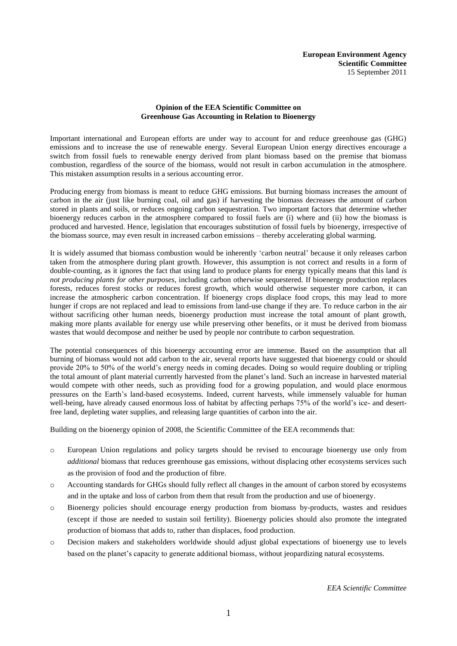# **Opinion of the EEA Scientific Committee on Greenhouse Gas Accounting in Relation to Bioenergy**

Important international and European efforts are under way to account for and reduce greenhouse gas (GHG) emissions and to increase the use of renewable energy. Several European Union energy directives encourage a switch from fossil fuels to renewable energy derived from plant biomass based on the premise that biomass combustion, regardless of the source of the biomass, would not result in carbon accumulation in the atmosphere. This mistaken assumption results in a serious accounting error.

Producing energy from biomass is meant to reduce GHG emissions. But burning biomass increases the amount of carbon in the air (just like burning coal, oil and gas) if harvesting the biomass decreases the amount of carbon stored in plants and soils, or reduces ongoing carbon sequestration. Two important factors that determine whether bioenergy reduces carbon in the atmosphere compared to fossil fuels are (i) where and (ii) how the biomass is produced and harvested. Hence, legislation that encourages substitution of fossil fuels by bioenergy, irrespective of the biomass source, may even result in increased carbon emissions – thereby accelerating global warming.

It is widely assumed that biomass combustion would be inherently "carbon neutral" because it only releases carbon taken from the atmosphere during plant growth. However, this assumption is not correct and results in a form of double-counting, as it ignores the fact that using land to produce plants for energy typically means that this land *is not producing plants for other purposes*, including carbon otherwise sequestered. If bioenergy production replaces forests, reduces forest stocks or reduces forest growth, which would otherwise sequester more carbon, it can increase the atmospheric carbon concentration. If bioenergy crops displace food crops, this may lead to more hunger if crops are not replaced and lead to emissions from land-use change if they are. To reduce carbon in the air without sacrificing other human needs, bioenergy production must increase the total amount of plant growth, making more plants available for energy use while preserving other benefits, or it must be derived from biomass wastes that would decompose and neither be used by people nor contribute to carbon sequestration.

The potential consequences of this bioenergy accounting error are immense. Based on the assumption that all burning of biomass would not add carbon to the air, several reports have suggested that bioenergy could or should provide 20% to 50% of the world"s energy needs in coming decades. Doing so would require doubling or tripling the total amount of plant material currently harvested from the planet"s land. Such an increase in harvested material would compete with other needs, such as providing food for a growing population, and would place enormous pressures on the Earth"s land-based ecosystems. Indeed, current harvests, while immensely valuable for human well-being, have already caused enormous loss of habitat by affecting perhaps 75% of the world's ice- and desertfree land, depleting water supplies, and releasing large quantities of carbon into the air.

Building on the bioenergy opinion of 2008, the Scientific Committee of the EEA recommends that:

- o European Union regulations and policy targets should be revised to encourage bioenergy use only from *additional* biomass that reduces greenhouse gas emissions, without displacing other ecosystems services such as the provision of food and the production of fibre.
- o Accounting standards for GHGs should fully reflect all changes in the amount of carbon stored by ecosystems and in the uptake and loss of carbon from them that result from the production and use of bioenergy.
- o Bioenergy policies should encourage energy production from biomass by-products, wastes and residues (except if those are needed to sustain soil fertility). Bioenergy policies should also promote the integrated production of biomass that adds to, rather than displaces, food production.
- o Decision makers and stakeholders worldwide should adjust global expectations of bioenergy use to levels based on the planet"s capacity to generate additional biomass, without jeopardizing natural ecosystems.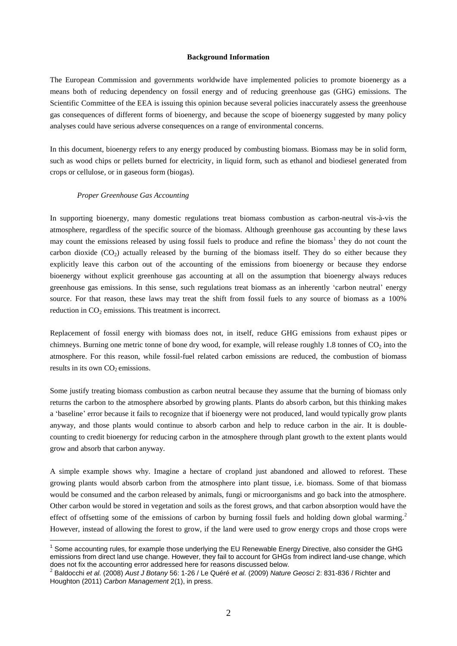#### **Background Information**

The European Commission and governments worldwide have implemented policies to promote bioenergy as a means both of reducing dependency on fossil energy and of reducing greenhouse gas (GHG) emissions. The Scientific Committee of the EEA is issuing this opinion because several policies inaccurately assess the greenhouse gas consequences of different forms of bioenergy, and because the scope of bioenergy suggested by many policy analyses could have serious adverse consequences on a range of environmental concerns.

In this document, bioenergy refers to any energy produced by combusting biomass. Biomass may be in solid form, such as wood chips or pellets burned for electricity, in liquid form, such as ethanol and biodiesel generated from crops or cellulose, or in gaseous form (biogas).

#### *Proper Greenhouse Gas Accounting*

 $\overline{a}$ 

In supporting bioenergy, many domestic regulations treat biomass combustion as carbon-neutral vis-à-vis the atmosphere, regardless of the specific source of the biomass. Although greenhouse gas accounting by these laws may count the emissions released by using fossil fuels to produce and refine the biomass<sup>1</sup> they do not count the carbon dioxide  $(CO<sub>2</sub>)$  actually released by the burning of the biomass itself. They do so either because they explicitly leave this carbon out of the accounting of the emissions from bioenergy or because they endorse bioenergy without explicit greenhouse gas accounting at all on the assumption that bioenergy always reduces greenhouse gas emissions. In this sense, such regulations treat biomass as an inherently "carbon neutral" energy source. For that reason, these laws may treat the shift from fossil fuels to any source of biomass as a 100% reduction in  $CO<sub>2</sub>$  emissions. This treatment is incorrect.

Replacement of fossil energy with biomass does not, in itself, reduce GHG emissions from exhaust pipes or chimneys. Burning one metric tonne of bone dry wood, for example, will release roughly 1.8 tonnes of  $CO<sub>2</sub>$  into the atmosphere. For this reason, while fossil-fuel related carbon emissions are reduced, the combustion of biomass results in its own  $CO<sub>2</sub>$  emissions.

Some justify treating biomass combustion as carbon neutral because they assume that the burning of biomass only returns the carbon to the atmosphere absorbed by growing plants. Plants do absorb carbon, but this thinking makes a "baseline" error because it fails to recognize that if bioenergy were not produced, land would typically grow plants anyway, and those plants would continue to absorb carbon and help to reduce carbon in the air. It is doublecounting to credit bioenergy for reducing carbon in the atmosphere through plant growth to the extent plants would grow and absorb that carbon anyway.

A simple example shows why. Imagine a hectare of cropland just abandoned and allowed to reforest. These growing plants would absorb carbon from the atmosphere into plant tissue, i.e. biomass. Some of that biomass would be consumed and the carbon released by animals, fungi or microorganisms and go back into the atmosphere. Other carbon would be stored in vegetation and soils as the forest grows, and that carbon absorption would have the effect of offsetting some of the emissions of carbon by burning fossil fuels and holding down global warming. 2 However, instead of allowing the forest to grow, if the land were used to grow energy crops and those crops were

<sup>&</sup>lt;sup>1</sup> Some accounting rules, for example those underlying the EU Renewable Energy Directive, also consider the GHG emissions from direct land use change. However, they fail to account for GHGs from indirect land-use change, which does not fix the accounting error addressed here for reasons discussed below.<br><sup>2</sup> Beldeeshi et el (2008) Augt LBotany 56: 1.26 (Le Quéré et el (2000) Noture

Baldocchi *et al.* (2008) *Aust J Botany* 56: 1-26 / Le Quéré *et al.* (2009) *Nature Geosci* 2: 831-836 / Richter and Houghton (2011) *Carbon Management* 2(1), in press.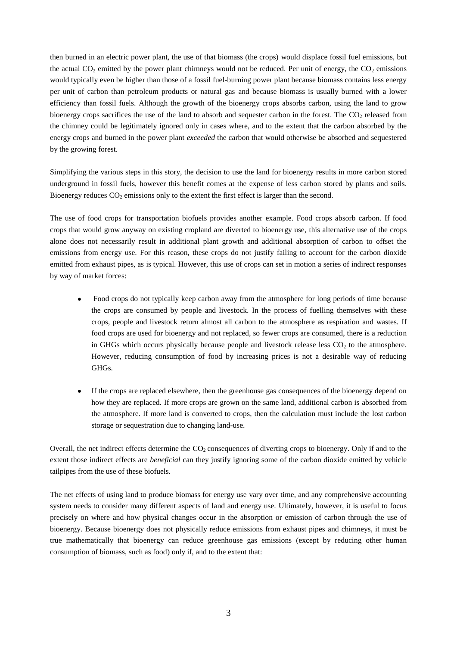then burned in an electric power plant, the use of that biomass (the crops) would displace fossil fuel emissions, but the actual  $CO_2$  emitted by the power plant chimneys would not be reduced. Per unit of energy, the  $CO_2$  emissions would typically even be higher than those of a fossil fuel-burning power plant because biomass contains less energy per unit of carbon than petroleum products or natural gas and because biomass is usually burned with a lower efficiency than fossil fuels. Although the growth of the bioenergy crops absorbs carbon, using the land to grow bioenergy crops sacrifices the use of the land to absorb and sequester carbon in the forest. The  $CO<sub>2</sub>$  released from the chimney could be legitimately ignored only in cases where, and to the extent that the carbon absorbed by the energy crops and burned in the power plant *exceeded* the carbon that would otherwise be absorbed and sequestered by the growing forest.

Simplifying the various steps in this story, the decision to use the land for bioenergy results in more carbon stored underground in fossil fuels, however this benefit comes at the expense of less carbon stored by plants and soils. Bioenergy reduces  $CO<sub>2</sub>$  emissions only to the extent the first effect is larger than the second.

The use of food crops for transportation biofuels provides another example. Food crops absorb carbon. If food crops that would grow anyway on existing cropland are diverted to bioenergy use, this alternative use of the crops alone does not necessarily result in additional plant growth and additional absorption of carbon to offset the emissions from energy use. For this reason, these crops do not justify failing to account for the carbon dioxide emitted from exhaust pipes, as is typical. However, this use of crops can set in motion a series of indirect responses by way of market forces:

- Food crops do not typically keep carbon away from the atmosphere for long periods of time because the crops are consumed by people and livestock. In the process of fuelling themselves with these crops, people and livestock return almost all carbon to the atmosphere as respiration and wastes. If food crops are used for bioenergy and not replaced, so fewer crops are consumed, there is a reduction in GHGs which occurs physically because people and livestock release less  $CO<sub>2</sub>$  to the atmosphere. However, reducing consumption of food by increasing prices is not a desirable way of reducing GHGs.
- If the crops are replaced elsewhere, then the greenhouse gas consequences of the bioenergy depend on how they are replaced. If more crops are grown on the same land, additional carbon is absorbed from the atmosphere. If more land is converted to crops, then the calculation must include the lost carbon storage or sequestration due to changing land-use.

Overall, the net indirect effects determine the  $CO<sub>2</sub>$  consequences of diverting crops to bioenergy. Only if and to the extent those indirect effects are *beneficial* can they justify ignoring some of the carbon dioxide emitted by vehicle tailpipes from the use of these biofuels.

The net effects of using land to produce biomass for energy use vary over time, and any comprehensive accounting system needs to consider many different aspects of land and energy use. Ultimately, however, it is useful to focus precisely on where and how physical changes occur in the absorption or emission of carbon through the use of bioenergy. Because bioenergy does not physically reduce emissions from exhaust pipes and chimneys, it must be true mathematically that bioenergy can reduce greenhouse gas emissions (except by reducing other human consumption of biomass, such as food) only if, and to the extent that: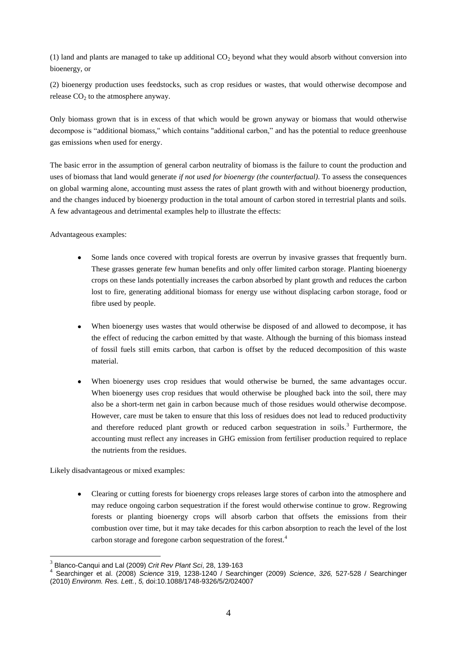(1) land and plants are managed to take up additional  $CO<sub>2</sub>$  beyond what they would absorb without conversion into bioenergy, or

(2) bioenergy production uses feedstocks, such as crop residues or wastes, that would otherwise decompose and release  $CO<sub>2</sub>$  to the atmosphere anyway.

Only biomass grown that is in excess of that which would be grown anyway or biomass that would otherwise decompose is "additional biomass," which contains "additional carbon," and has the potential to reduce greenhouse gas emissions when used for energy.

The basic error in the assumption of general carbon neutrality of biomass is the failure to count the production and uses of biomass that land would generate *if not used for bioenergy (the counterfactual)*. To assess the consequences on global warming alone, accounting must assess the rates of plant growth with and without bioenergy production, and the changes induced by bioenergy production in the total amount of carbon stored in terrestrial plants and soils. A few advantageous and detrimental examples help to illustrate the effects:

Advantageous examples:

- Some lands once covered with tropical forests are overrun by invasive grasses that frequently burn. These grasses generate few human benefits and only offer limited carbon storage. Planting bioenergy crops on these lands potentially increases the carbon absorbed by plant growth and reduces the carbon lost to fire, generating additional biomass for energy use without displacing carbon storage, food or fibre used by people.
- When bioenergy uses wastes that would otherwise be disposed of and allowed to decompose, it has the effect of reducing the carbon emitted by that waste. Although the burning of this biomass instead of fossil fuels still emits carbon, that carbon is offset by the reduced decomposition of this waste material.
- When bioenergy uses crop residues that would otherwise be burned, the same advantages occur. When bioenergy uses crop residues that would otherwise be ploughed back into the soil, there may also be a short-term net gain in carbon because much of those residues would otherwise decompose. However, care must be taken to ensure that this loss of residues does not lead to reduced productivity and therefore reduced plant growth or reduced carbon sequestration in soils.<sup>3</sup> Furthermore, the accounting must reflect any increases in GHG emission from fertiliser production required to replace the nutrients from the residues.

Likely disadvantageous or mixed examples:

 $\overline{a}$ 

Clearing or cutting forests for bioenergy crops releases large stores of carbon into the atmosphere and may reduce ongoing carbon sequestration if the forest would otherwise continue to grow. Regrowing forests or planting bioenergy crops will absorb carbon that offsets the emissions from their combustion over time, but it may take decades for this carbon absorption to reach the level of the lost carbon storage and foregone carbon sequestration of the forest.<sup>4</sup>

<sup>&</sup>lt;sup>3</sup> Blanco-Canqui and Lal (2009) *Crit Rev Plant Sci*, 28, 139-163<br><sup>4</sup> Secrebinger et el. (2008), Science 210, 1228, 1240 / Secre

Searchinger et al. (2008) *Science* 319, 1238-1240 / Searchinger (2009) *Science*, *326,* 527-528 / Searchinger (2010) *Environm. Res. Lett.*, *5,* doi:10.1088/1748-9326/5/2/024007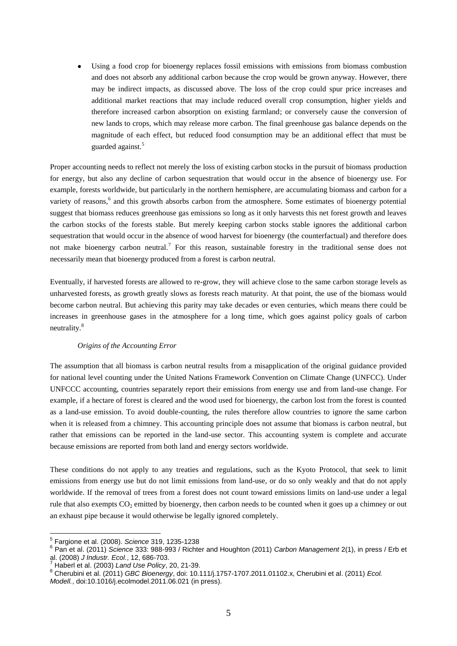Using a food crop for bioenergy replaces fossil emissions with emissions from biomass combustion and does not absorb any additional carbon because the crop would be grown anyway. However, there may be indirect impacts, as discussed above. The loss of the crop could spur price increases and additional market reactions that may include reduced overall crop consumption, higher yields and therefore increased carbon absorption on existing farmland; or conversely cause the conversion of new lands to crops, which may release more carbon. The final greenhouse gas balance depends on the magnitude of each effect, but reduced food consumption may be an additional effect that must be guarded against.<sup>5</sup>

Proper accounting needs to reflect not merely the loss of existing carbon stocks in the pursuit of biomass production for energy, but also any decline of carbon sequestration that would occur in the absence of bioenergy use. For example, forests worldwide, but particularly in the northern hemisphere, are accumulating biomass and carbon for a variety of reasons,<sup>6</sup> and this growth absorbs carbon from the atmosphere. Some estimates of bioenergy potential suggest that biomass reduces greenhouse gas emissions so long as it only harvests this net forest growth and leaves the carbon stocks of the forests stable. But merely keeping carbon stocks stable ignores the additional carbon sequestration that would occur in the absence of wood harvest for bioenergy (the counterfactual) and therefore does not make bioenergy carbon neutral.<sup>7</sup> For this reason, sustainable forestry in the traditional sense does not necessarily mean that bioenergy produced from a forest is carbon neutral.

Eventually, if harvested forests are allowed to re-grow, they will achieve close to the same carbon storage levels as unharvested forests, as growth greatly slows as forests reach maturity. At that point, the use of the biomass would become carbon neutral. But achieving this parity may take decades or even centuries, which means there could be increases in greenhouse gases in the atmosphere for a long time, which goes against policy goals of carbon neutrality.<sup>8</sup>

## *Origins of the Accounting Error*

The assumption that all biomass is carbon neutral results from a misapplication of the original guidance provided for national level counting under the United Nations Framework Convention on Climate Change (UNFCC). Under UNFCCC accounting, countries separately report their emissions from energy use and from land-use change. For example, if a hectare of forest is cleared and the wood used for bioenergy, the carbon lost from the forest is counted as a land-use emission. To avoid double-counting, the rules therefore allow countries to ignore the same carbon when it is released from a chimney. This accounting principle does not assume that biomass is carbon neutral, but rather that emissions can be reported in the land-use sector. This accounting system is complete and accurate because emissions are reported from both land and energy sectors worldwide.

These conditions do not apply to any treaties and regulations, such as the Kyoto Protocol, that seek to limit emissions from energy use but do not limit emissions from land-use, or do so only weakly and that do not apply worldwide. If the removal of trees from a forest does not count toward emissions limits on land-use under a legal rule that also exempts  $CO_2$  emitted by bioenergy, then carbon needs to be counted when it goes up a chimney or out an exhaust pipe because it would otherwise be legally ignored completely.

 5 Fargione et al. (2008). *Science* 319, 1235-1238

<sup>6</sup> Pan et al. (2011) *Science* 333: 988-993 / Richter and Houghton (2011) *Carbon Management* 2(1), in press / Erb et al. (2008) *J Industr. Ecol.*, 12, 686-703.

<sup>7</sup> Haberl et al. (2003) *Land Use Policy*, 20, 21-39.

<sup>8</sup> Cherubini et al. (2011) *GBC Bioenergy*, doi: 10.111/j.1757-1707.2011.01102.x, Cherubini et al. (2011) *Ecol. Modell.*, doi:10.1016/j.ecolmodel.2011.06.021 (in press).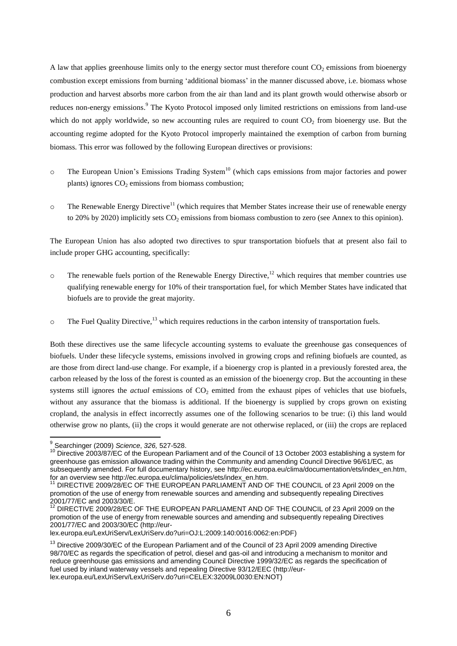A law that applies greenhouse limits only to the energy sector must therefore count  $CO<sub>2</sub>$  emissions from bioenergy combustion except emissions from burning "additional biomass" in the manner discussed above, i.e. biomass whose production and harvest absorbs more carbon from the air than land and its plant growth would otherwise absorb or reduces non-energy emissions.<sup>9</sup> The Kyoto Protocol imposed only limited restrictions on emissions from land-use which do not apply worldwide, so new accounting rules are required to count  $CO<sub>2</sub>$  from bioenergy use. But the accounting regime adopted for the Kyoto Protocol improperly maintained the exemption of carbon from burning biomass. This error was followed by the following European directives or provisions:

- $\circ$  The European Union's Emissions Trading System<sup>10</sup> (which caps emissions from major factories and power plants) ignores  $CO<sub>2</sub>$  emissions from biomass combustion;
- $\circ$  The Renewable Energy Directive<sup>11</sup> (which requires that Member States increase their use of renewable energy to 20% by 2020) implicitly sets  $CO<sub>2</sub>$  emissions from biomass combustion to zero (see Annex to this opinion).

The European Union has also adopted two directives to spur transportation biofuels that at present also fail to include proper GHG accounting, specifically:

- $\circ$  The renewable fuels portion of the Renewable Energy Directive,<sup>12</sup> which requires that member countries use qualifying renewable energy for 10% of their transportation fuel, for which Member States have indicated that biofuels are to provide the great majority.
- $\circ$  The Fuel Quality Directive,<sup>13</sup> which requires reductions in the carbon intensity of transportation fuels.

Both these directives use the same lifecycle accounting systems to evaluate the greenhouse gas consequences of biofuels. Under these lifecycle systems, emissions involved in growing crops and refining biofuels are counted, as are those from direct land-use change. For example, if a bioenergy crop is planted in a previously forested area, the carbon released by the loss of the forest is counted as an emission of the bioenergy crop. But the accounting in these systems still ignores the *actual* emissions of CO<sub>2</sub> emitted from the exhaust pipes of vehicles that use biofuels, without any assurance that the biomass is additional. If the bioenergy is supplied by crops grown on existing cropland, the analysis in effect incorrectly assumes one of the following scenarios to be true: (i) this land would otherwise grow no plants, (ii) the crops it would generate are not otherwise replaced, or (iii) the crops are replaced

 $\overline{\phantom{a}}$ 

<sup>9</sup> Searchinger (2009) *Science*, *326,* 527-528.

<sup>&</sup>lt;sup>10</sup> Directive 2003/87/EC of the European Parliament and of the Council of 13 October 2003 establishing a system for greenhouse gas emission allowance trading within the Community and amending Council Directive 96/61/EC, as subsequently amended. For full documentary history, see [http://ec.europa.eu/clima/documentation/ets/index\\_en.htm,](http://ec.europa.eu/clima/documentation/ets/index_en.htm) for an overview see http://ec.europa.eu/clima/policies/ets/index\_en.htm.

<sup>&</sup>lt;sup>11</sup> DIRECTIVE 2009/28/EC OF THE EUROPEAN PARLIAMENT AND OF THE COUNCIL of 23 April 2009 on the promotion of the use of energy from renewable sources and amending and subsequently repealing Directives 2001/77/EC and 2003/30/E.

DIRECTIVE 2009/28/EC OF THE EUROPEAN PARLIAMENT AND OF THE COUNCIL of 23 April 2009 on the promotion of the use of energy from renewable sources and amending and subsequently repealing Directives 2001/77/EC and 2003/30/EC [\(http://eur-](http://eur-lex.europa.eu/LexUriServ/LexUriServ.do?uri=OJ:L:2009:140:0016:0062:en:PDF)

[lex.europa.eu/LexUriServ/LexUriServ.do?uri=OJ:L:2009:140:0016:0062:en:PDF\)](http://eur-lex.europa.eu/LexUriServ/LexUriServ.do?uri=OJ:L:2009:140:0016:0062:en:PDF)

<sup>&</sup>lt;sup>13</sup> Directive 2009/30/EC of the European Parliament and of the Council of 23 April 2009 amending Directive 98/70/EC as regards the specification of petrol, diesel and gas-oil and introducing a mechanism to monitor and reduce greenhouse gas emissions and amending Council Directive 1999/32/EC as regards the specification of fuel used by inland waterway vessels and repealing Directive 93/12/EEC [\(http://eur](http://eur-lex.europa.eu/LexUriServ/LexUriServ.do?uri=CELEX:32009L0030:EN:NOT)[lex.europa.eu/LexUriServ/LexUriServ.do?uri=CELEX:32009L0030:EN:NOT\)](http://eur-lex.europa.eu/LexUriServ/LexUriServ.do?uri=CELEX:32009L0030:EN:NOT)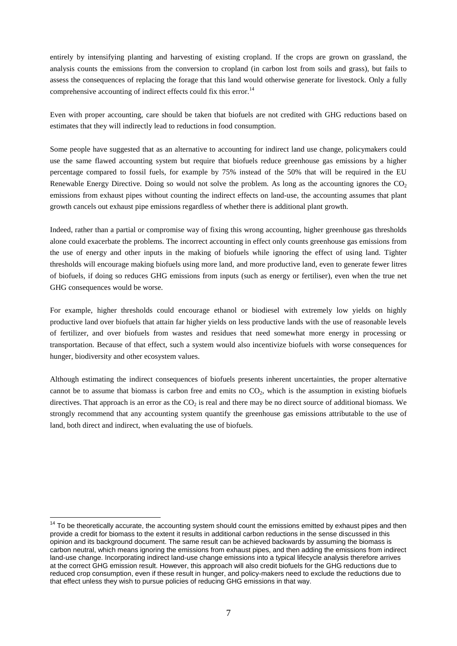entirely by intensifying planting and harvesting of existing cropland. If the crops are grown on grassland, the analysis counts the emissions from the conversion to cropland (in carbon lost from soils and grass), but fails to assess the consequences of replacing the forage that this land would otherwise generate for livestock. Only a fully comprehensive accounting of indirect effects could fix this error.<sup>14</sup>

Even with proper accounting, care should be taken that biofuels are not credited with GHG reductions based on estimates that they will indirectly lead to reductions in food consumption.

Some people have suggested that as an alternative to accounting for indirect land use change, policymakers could use the same flawed accounting system but require that biofuels reduce greenhouse gas emissions by a higher percentage compared to fossil fuels, for example by 75% instead of the 50% that will be required in the EU Renewable Energy Directive. Doing so would not solve the problem. As long as the accounting ignores the  $CO<sub>2</sub>$ emissions from exhaust pipes without counting the indirect effects on land-use, the accounting assumes that plant growth cancels out exhaust pipe emissions regardless of whether there is additional plant growth.

Indeed, rather than a partial or compromise way of fixing this wrong accounting, higher greenhouse gas thresholds alone could exacerbate the problems. The incorrect accounting in effect only counts greenhouse gas emissions from the use of energy and other inputs in the making of biofuels while ignoring the effect of using land. Tighter thresholds will encourage making biofuels using more land, and more productive land, even to generate fewer litres of biofuels, if doing so reduces GHG emissions from inputs (such as energy or fertiliser), even when the true net GHG consequences would be worse.

For example, higher thresholds could encourage ethanol or biodiesel with extremely low yields on highly productive land over biofuels that attain far higher yields on less productive lands with the use of reasonable levels of fertilizer, and over biofuels from wastes and residues that need somewhat more energy in processing or transportation. Because of that effect, such a system would also incentivize biofuels with worse consequences for hunger, biodiversity and other ecosystem values.

Although estimating the indirect consequences of biofuels presents inherent uncertainties, the proper alternative cannot be to assume that biomass is carbon free and emits no  $CO<sub>2</sub>$ , which is the assumption in existing biofuels directives. That approach is an error as the  $CO<sub>2</sub>$  is real and there may be no direct source of additional biomass. We strongly recommend that any accounting system quantify the greenhouse gas emissions attributable to the use of land, both direct and indirect, when evaluating the use of biofuels.

 $\overline{a}$ 

 $14$  To be theoretically accurate, the accounting system should count the emissions emitted by exhaust pipes and then provide a credit for biomass to the extent it results in additional carbon reductions in the sense discussed in this opinion and its background document. The same result can be achieved backwards by assuming the biomass is carbon neutral, which means ignoring the emissions from exhaust pipes, and then adding the emissions from indirect land-use change. Incorporating indirect land-use change emissions into a typical lifecycle analysis therefore arrives at the correct GHG emission result. However, this approach will also credit biofuels for the GHG reductions due to reduced crop consumption, even if these result in hunger, and policy-makers need to exclude the reductions due to that effect unless they wish to pursue policies of reducing GHG emissions in that way.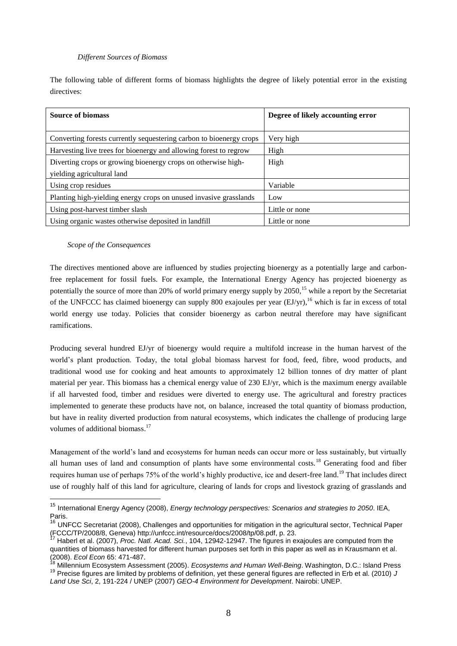## *Different Sources of Biomass*

The following table of different forms of biomass highlights the degree of likely potential error in the existing directives:

| <b>Source of biomass</b>                                            | Degree of likely accounting error |
|---------------------------------------------------------------------|-----------------------------------|
| Converting forests currently sequestering carbon to bioenergy crops | Very high                         |
| Harvesting live trees for bioenergy and allowing forest to regrow   | High                              |
| Diverting crops or growing bioenergy crops on otherwise high-       | High                              |
| yielding agricultural land                                          |                                   |
| Using crop residues                                                 | Variable                          |
| Planting high-yielding energy crops on unused invasive grasslands   | Low                               |
| Using post-harvest timber slash                                     | Little or none                    |
| Using organic wastes otherwise deposited in landfill                | Little or none                    |

## *Scope of the Consequences*

 $\overline{a}$ 

The directives mentioned above are influenced by studies projecting bioenergy as a potentially large and carbonfree replacement for fossil fuels. For example, the International Energy Agency has projected bioenergy as potentially the source of more than 20% of world primary energy supply by 2050,<sup>15</sup> while a report by the Secretariat of the UNFCCC has claimed bioenergy can supply 800 exajoules per year (EJ/yr),<sup>16</sup> which is far in excess of total world energy use today. Policies that consider bioenergy as carbon neutral therefore may have significant ramifications.

Producing several hundred EJ/yr of bioenergy would require a multifold increase in the human harvest of the world"s plant production. Today, the total global biomass harvest for food, feed, fibre, wood products, and traditional wood use for cooking and heat amounts to approximately 12 billion tonnes of dry matter of plant material per year. This biomass has a chemical energy value of 230 EJ/yr, which is the maximum energy available if all harvested food, timber and residues were diverted to energy use. The agricultural and forestry practices implemented to generate these products have not, on balance, increased the total quantity of biomass production, but have in reality diverted production from natural ecosystems, which indicates the challenge of producing large volumes of additional biomass.<sup>17</sup>

Management of the world"s land and ecosystems for human needs can occur more or less sustainably, but virtually all human uses of land and consumption of plants have some environmental costs.<sup>18</sup> Generating food and fiber requires human use of perhaps 75% of the world's highly productive, ice and desert-free land.<sup>19</sup> That includes direct use of roughly half of this land for agriculture, clearing of lands for crops and livestock grazing of grasslands and

<sup>15</sup> International Energy Agency (2008), *Energy technology perspectives: Scenarios and strategies to 2050*. IEA, Paris.

<sup>&</sup>lt;sup>16</sup> UNFCC Secretariat (2008), Challenges and opportunities for mitigation in the agricultural sector, Technical Paper (FCCC/TP/2008/8, Geneva) [http://unfccc.int/resource/docs/2008/tp/08.pdf,](http://unfccc.int/resource/docs/2008/tp/08.pdf) p. 23.

<sup>17</sup> Haberl et al. (2007), *Proc. Natl. Acad. Sci.*, 104, 12942-12947. The figures in exajoules are computed from the quantities of biomass harvested for different human purposes set forth in this paper as well as in Krausmann et al. (2008). *Ecol Econ* 65: 471-487.

<sup>18</sup> Millennium Ecosystem Assessment (2005). *Ecosystems and Human Well-Being*. Washington, D.C.: Island Press <sup>19</sup> Precise figures are limited by problems of definition, yet these general figures are reflected in Erb et al. (2010) *J Land Use Sci*, 2, 191-224 / UNEP (2007) *GEO-4 Environment for Development*. Nairobi: UNEP.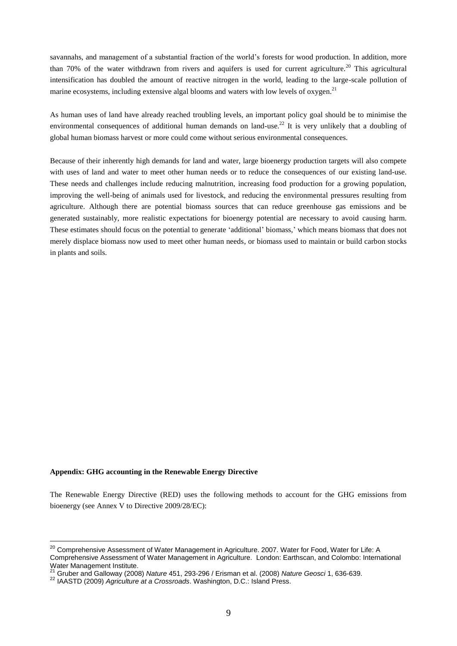savannahs, and management of a substantial fraction of the world"s forests for wood production. In addition, more than 70% of the water withdrawn from rivers and aquifers is used for current agriculture.<sup>20</sup> This agricultural intensification has doubled the amount of reactive nitrogen in the world, leading to the large-scale pollution of marine ecosystems, including extensive algal blooms and waters with low levels of oxygen.<sup>21</sup>

As human uses of land have already reached troubling levels, an important policy goal should be to minimise the environmental consequences of additional human demands on land-use.<sup>22</sup> It is very unlikely that a doubling of global human biomass harvest or more could come without serious environmental consequences.

Because of their inherently high demands for land and water, large bioenergy production targets will also compete with uses of land and water to meet other human needs or to reduce the consequences of our existing land-use. These needs and challenges include reducing malnutrition, increasing food production for a growing population, improving the well-being of animals used for livestock, and reducing the environmental pressures resulting from agriculture. Although there are potential biomass sources that can reduce greenhouse gas emissions and be generated sustainably, more realistic expectations for bioenergy potential are necessary to avoid causing harm. These estimates should focus on the potential to generate 'additional' biomass,' which means biomass that does not merely displace biomass now used to meet other human needs, or biomass used to maintain or build carbon stocks in plants and soils.

#### **Appendix: GHG accounting in the Renewable Energy Directive**

 $\overline{a}$ 

The Renewable Energy Directive (RED) uses the following methods to account for the GHG emissions from bioenergy (see Annex V to Directive 2009/28/EC):

<sup>&</sup>lt;sup>20</sup> Comprehensive Assessment of Water Management in Agriculture. 2007. Water for Food, Water for Life: A Comprehensive Assessment of Water Management in Agriculture. London: Earthscan, and Colombo: International Water Management Institute.

<sup>21</sup> Gruber and Galloway (2008) *Nature* 451, 293-296 / Erisman et al. (2008) *Nature Geosci* 1, 636-639.

<sup>22</sup> IAASTD (2009) *Agriculture at a Crossroads*. Washington, D.C.: Island Press.